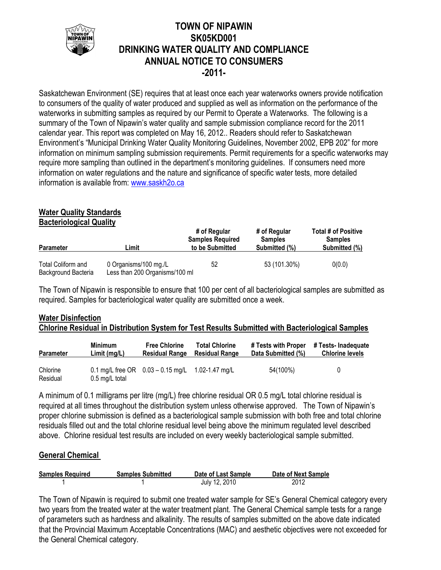

## **TOWN OF NIPAWIN SK05KD001 DRINKING WATER QUALITY AND COMPLIANCE ANNUAL NOTICE TO CONSUMERS -2011-**

Saskatchewan Environment (SE) requires that at least once each year waterworks owners provide notification to consumers of the quality of water produced and supplied as well as information on the performance of the waterworks in submitting samples as required by our Permit to Operate a Waterworks. The following is a summary of the Town of Nipawin's water quality and sample submission compliance record for the 2011 calendar year. This report was completed on May 16, 2012.. Readers should refer to Saskatchewan Environment's "Municipal Drinking Water Quality Monitoring Guidelines, November 2002, EPB 202" for more information on minimum sampling submission requirements. Permit requirements for a specific waterworks may require more sampling than outlined in the department's monitoring guidelines. If consumers need more information on water regulations and the nature and significance of specific water tests, more detailed information is available from: [www.saskh2o.ca](http://www.saskh2o.ca/)

# **Water Quality Standards**

**Bacteriological Quality**

| <b>Parameter</b>                          | ∟imit                                                   | # of Regular<br><b>Samples Required</b><br>to be Submitted | # of Regular<br><b>Samples</b><br>Submitted (%) | Total # of Positive<br><b>Samples</b><br>Submitted (%) |
|-------------------------------------------|---------------------------------------------------------|------------------------------------------------------------|-------------------------------------------------|--------------------------------------------------------|
| Total Coliform and<br>Background Bacteria | 0 Organisms/100 mg./L<br>Less than 200 Organisms/100 ml | 52                                                         | 53 (101.30%)                                    | 0(0.0)                                                 |

The Town of Nipawin is responsible to ensure that 100 per cent of all bacteriological samples are submitted as required. Samples for bacteriological water quality are submitted once a week.

## **Water Disinfection Chlorine Residual in Distribution System for Test Results Submitted with Bacteriological Samples**

| <b>Parameter</b>     | <b>Minimum</b>           | <b>Free Chlorine</b>                                   | <b>Total Chlorine</b> | # Tests with Proper | # Tests- Inadequate    |
|----------------------|--------------------------|--------------------------------------------------------|-----------------------|---------------------|------------------------|
|                      | Limit (mg/L)             | <b>Residual Range</b>                                  | <b>Residual Range</b> | Data Submitted (%)  | <b>Chlorine levels</b> |
| Chlorine<br>Residual | $0.5 \text{ mg/L}$ total | 0.1 mg/L free OR $0.03 - 0.15$ mg/L $1.02 - 1.47$ mg/L |                       | 54(100%)            | 0                      |

A minimum of 0.1 milligrams per litre (mg/L) free chlorine residual OR 0.5 mg/L total chlorine residual is required at all times throughout the distribution system unless otherwise approved. The Town of Nipawin's proper chlorine submission is defined as a bacteriological sample submission with both free and total chlorine residuals filled out and the total chlorine residual level being above the minimum regulated level described above. Chlorine residual test results are included on every weekly bacteriological sample submitted.

## **General Chemical**

| <b>Samples Required</b> | <b>Samples Submitted</b> | Date of Last Sample | Date of Next Sample |
|-------------------------|--------------------------|---------------------|---------------------|
|                         |                          | July 12, 2010       | 2012                |

The Town of Nipawin is required to submit one treated water sample for SE's General Chemical category every two years from the treated water at the water treatment plant. The General Chemical sample tests for a range of parameters such as hardness and alkalinity. The results of samples submitted on the above date indicated that the Provincial Maximum Acceptable Concentrations (MAC) and aesthetic objectives were not exceeded for the General Chemical category.